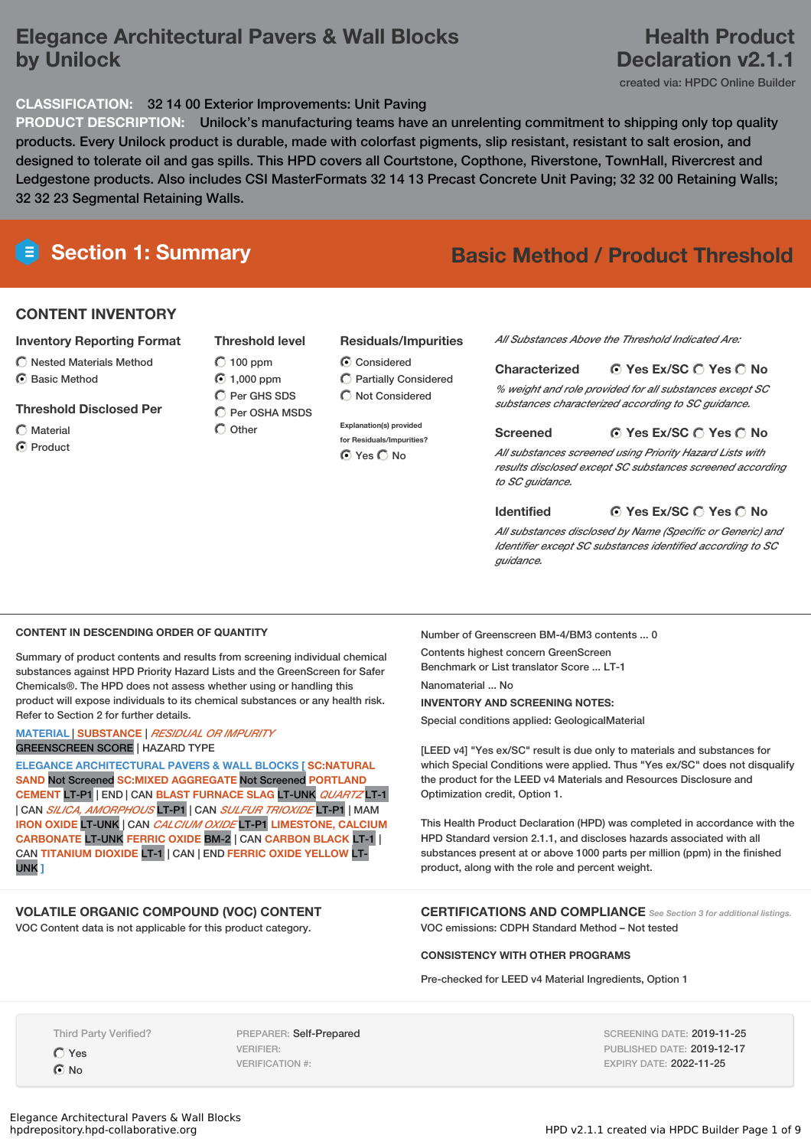## **Elegance Architectural Pavers & Wall Blocks by Unilock**

## **Health Product Declaration v2.1.1**

created via: HPDC Online Builder

### **CLASSIFICATION:** 32 14 00 Exterior Improvements: Unit Paving

**PRODUCT DESCRIPTION:** Unilock's manufacturing teams have an unrelenting commitment to shipping only top quality products. Every Unilock product is durable, made with colorfast pigments, slip resistant, resistant to salt erosion, and designed to tolerate oil and gas spills. This HPD covers all Courtstone, Copthone, Riverstone, TownHall, Rivercrest and Ledgestone products. Also includes CSI MasterFormats 32 14 13 Precast Concrete Unit Paving; 32 32 00 Retaining Walls; 32 32 23 Segmental Retaining Walls.

# **Section 1: Summary Basic Method / Product Threshold**

### **CONTENT INVENTORY**

### **Inventory Reporting Format**

 $\bigcirc$  Nested Materials Method C Basic Method

### **Threshold Disclosed Per**

- Material
- C Product

### **Threshold level**

### $O$  100 ppm 1,000 ppm Per GHS SDS

 $\bigcirc$  Per OSHA MSDS  $\bigcap$  Other

### **Residuals/Impurities**

- **C** Considered Partially Considered  $\bigcap$  Not Considered
- **Explanation(s) provided for Residuals/Impurities?**

*All Substances Above the Threshold Indicated Are:*

### **Yes Ex/SC Yes No Characterized** *% weight and role provided for all substances except SC substances characterized according to SC guidance.*

**Yes Ex/SC Yes No Screened**

*All substances screened using Priority Hazard Lists with results disclosed except SC substances screened according to SC guidance.*

### **Identified**

**Yes Ex/SC Yes No**

*All substances disclosed by Name (Specific or Generic) and Identifier except SC substances identified according to SC guidance.*

### **CONTENT IN DESCENDING ORDER OF QUANTITY**

Summary of product contents and results from screening individual chemical substances against HPD Priority Hazard Lists and the GreenScreen for Safer Chemicals®. The HPD does not assess whether using or handling this product will expose individuals to its chemical substances or any health risk. Refer to Section 2 for further details.

### **MATERIAL** | **SUBSTANCE** | *RESIDUAL OR IMPURITY* GREENSCREEN SCORE | HAZARD TYPE

**ELEGANCE ARCHITECTURAL PAVERS & WALL BLOCKS [ SC:NATURAL SAND** Not Screened **SC:MIXED AGGREGATE** Not Screened **PORTLAND CEMENT** LT-P1 | END | CAN **BLAST FURNACE SLAG** LT-UNK *QUARTZ* LT-1 | CAN *SILICA, AMORPHOUS* LT-P1 | CAN *SULFUR TRIOXIDE* LT-P1 | MAM **IRON OXIDE** LT-UNK | CAN *CALCIUM OXIDE* LT-P1 **LIMESTONE, CALCIUM CARBONATE** LT-UNK **FERRIC OXIDE** BM-2 | CAN **CARBON BLACK** LT-1 | CAN **TITANIUM DIOXIDE** LT-1 | CAN | END **FERRIC OXIDE YELLOW** LT-UNK **]**

### **VOLATILE ORGANIC COMPOUND (VOC) CONTENT**

VOC Content data is not applicable for this product category.

Number of Greenscreen BM-4/BM3 contents ... 0 Contents highest concern GreenScreen Benchmark or List translator Score ... LT-1 Nanomaterial No **INVENTORY AND SCREENING NOTES:**

Special conditions applied: GeologicalMaterial

[LEED v4] "Yes ex/SC" result is due only to materials and substances for which Special Conditions were applied. Thus "Yes ex/SC" does not disqualify the product for the LEED v4 Materials and Resources Disclosure and Optimization credit, Option 1.

This Health Product Declaration (HPD) was completed in accordance with the HPD Standard version 2.1.1, and discloses hazards associated with all substances present at or above 1000 parts per million (ppm) in the finished product, along with the role and percent weight.

**CERTIFICATIONS AND COMPLIANCE** *See Section <sup>3</sup> for additional listings.* VOC emissions: CDPH Standard Method – Not tested

**CONSISTENCY WITH OTHER PROGRAMS**

Pre-checked for LEED v4 Material Ingredients, Option 1

Third Party Verified?

Yes  $\odot$  No

PREPARER: Self-Prepared VERIFIER: VERIFICATION #:

SCREENING DATE: 2019-11-25 PUBLISHED DATE: 2019-12-17 EXPIRY DATE: 2022-11-25

- - ⊙ Yes O No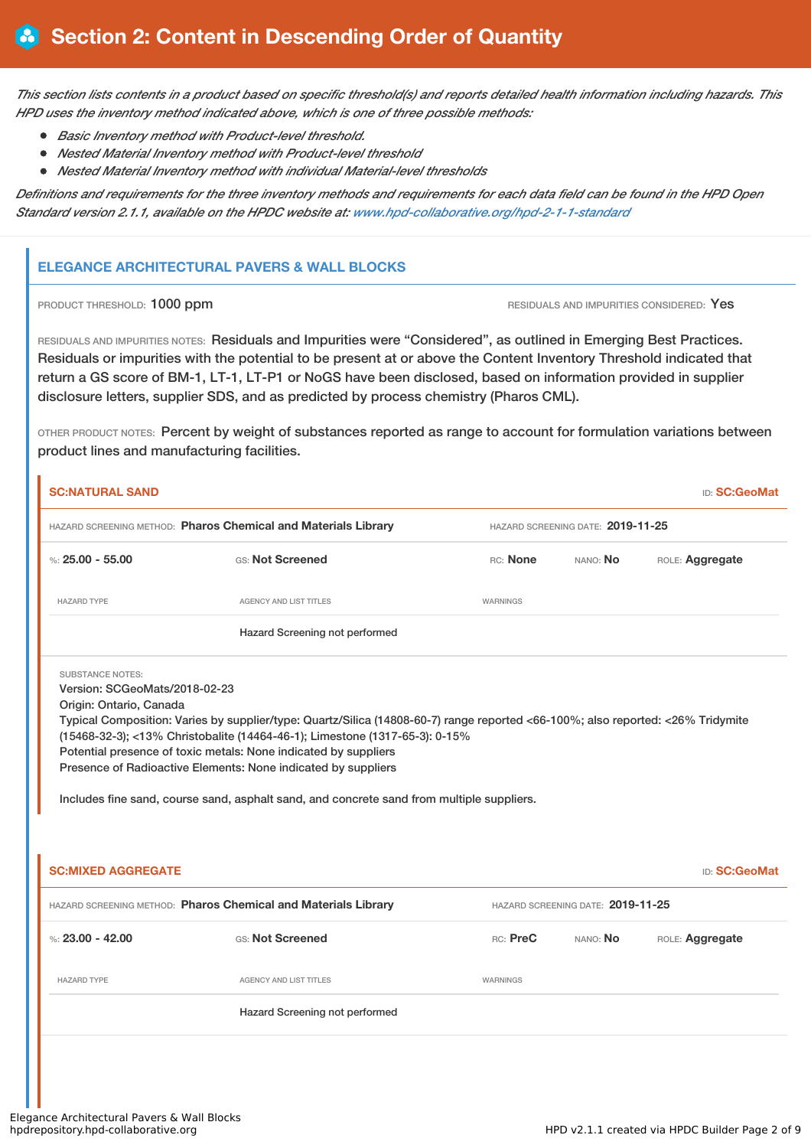This section lists contents in a product based on specific threshold(s) and reports detailed health information including hazards. This *HPD uses the inventory method indicated above, which is one of three possible methods:*

- *Basic Inventory method with Product-level threshold.*
- *Nested Material Inventory method with Product-level threshold*
- *Nested Material Inventory method with individual Material-level thresholds*

Definitions and requirements for the three inventory methods and requirements for each data field can be found in the HPD Open *Standard version 2.1.1, available on the HPDC website at: [www.hpd-collaborative.org/hpd-2-1-1-standard](https://www.hpd-collaborative.org/hpd-2-1-1-standard)*

### **ELEGANCE ARCHITECTURAL PAVERS & WALL BLOCKS**

**PRODUCT THRESHOLD: 1000 ppm RESIDUALS AND IMPURITIES CONSIDERED: Yes** 

RESIDUALS AND IMPURITIES NOTES: Residuals and Impurities were "Considered", as outlined in Emerging Best Practices. Residuals or impurities with the potential to be present at or above the Content Inventory Threshold indicated that return a GS score of BM-1, LT-1, LT-P1 or NoGS have been disclosed, based on information provided in supplier disclosure letters, supplier SDS, and as predicted by process chemistry (Pharos CML).

OTHER PRODUCT NOTES: Percent by weight of substances reported as range to account for formulation variations between product lines and manufacturing facilities.

| <b>SC:NATURAL SAND</b>                                   |                                                                                                                                                                                                                                                                                                                                                                                                                                                 |          |                                   | <b>ID: SC:GeoMat</b> |  |
|----------------------------------------------------------|-------------------------------------------------------------------------------------------------------------------------------------------------------------------------------------------------------------------------------------------------------------------------------------------------------------------------------------------------------------------------------------------------------------------------------------------------|----------|-----------------------------------|----------------------|--|
|                                                          | HAZARD SCREENING METHOD: Pharos Chemical and Materials Library                                                                                                                                                                                                                                                                                                                                                                                  |          | HAZARD SCREENING DATE: 2019-11-25 |                      |  |
| %: $25.00 - 55.00$                                       | GS: Not Screened                                                                                                                                                                                                                                                                                                                                                                                                                                | RC: None | NANO: No                          | ROLE: Aggregate      |  |
| <b>HAZARD TYPE</b>                                       | <b>AGENCY AND LIST TITLES</b>                                                                                                                                                                                                                                                                                                                                                                                                                   | WARNINGS |                                   |                      |  |
|                                                          | Hazard Screening not performed                                                                                                                                                                                                                                                                                                                                                                                                                  |          |                                   |                      |  |
| Version: SCGeoMats/2018-02-23<br>Origin: Ontario, Canada | Typical Composition: Varies by supplier/type: Quartz/Silica (14808-60-7) range reported <66-100%; also reported: <26% Tridymite<br>(15468-32-3); <13% Christobalite (14464-46-1); Limestone (1317-65-3): 0-15%<br>Potential presence of toxic metals: None indicated by suppliers<br>Presence of Radioactive Elements: None indicated by suppliers<br>Includes fine sand, course sand, asphalt sand, and concrete sand from multiple suppliers. |          |                                   |                      |  |
| <b>SC:MIXED AGGREGATE</b>                                |                                                                                                                                                                                                                                                                                                                                                                                                                                                 |          |                                   | <b>ID: SC:GeoMat</b> |  |
|                                                          | HAZARD SCREENING METHOD: Pharos Chemical and Materials Library                                                                                                                                                                                                                                                                                                                                                                                  |          | HAZARD SCREENING DATE: 2019-11-25 |                      |  |
| %: 23.00 - 42.00                                         | GS: Not Screened                                                                                                                                                                                                                                                                                                                                                                                                                                | RC: PreC | NANO: No                          | ROLE: Aggregate      |  |
| <b>HAZARD TYPE</b>                                       | <b>AGENCY AND LIST TITLES</b>                                                                                                                                                                                                                                                                                                                                                                                                                   | WARNINGS |                                   |                      |  |
|                                                          | Hazard Screening not performed                                                                                                                                                                                                                                                                                                                                                                                                                  |          |                                   |                      |  |
|                                                          |                                                                                                                                                                                                                                                                                                                                                                                                                                                 |          |                                   |                      |  |
|                                                          |                                                                                                                                                                                                                                                                                                                                                                                                                                                 |          |                                   |                      |  |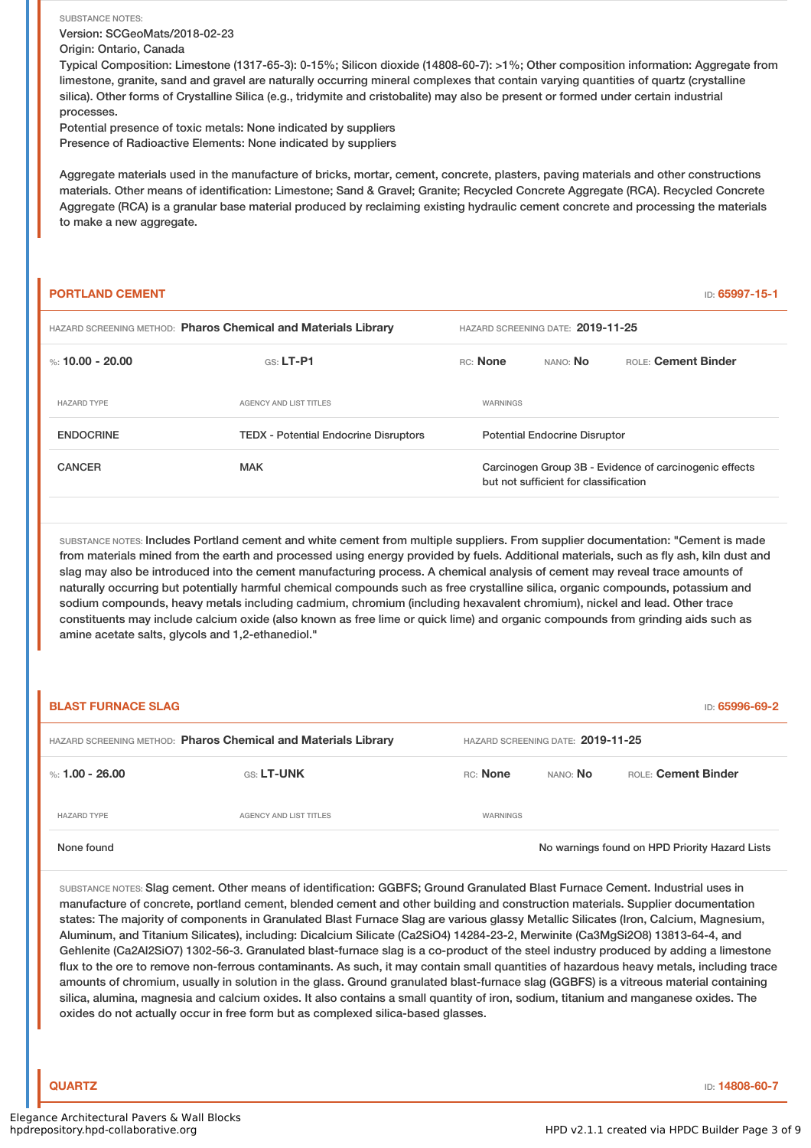SUBSTANCE NOTES: Version: SCGeoMats/2018-02-23 Origin: Ontario, Canada

Typical Composition: Limestone (1317-65-3): 0-15%; Silicon dioxide (14808-60-7): >1%; Other composition information: Aggregate from limestone, granite, sand and gravel are naturally occurring mineral complexes that contain varying quantities of quartz (crystalline silica). Other forms of Crystalline Silica (e.g., tridymite and cristobalite) may also be present or formed under certain industrial processes.

Potential presence of toxic metals: None indicated by suppliers Presence of Radioactive Elements: None indicated by suppliers

Aggregate materials used in the manufacture of bricks, mortar, cement, concrete, plasters, paving materials and other constructions materials. Other means of identification: Limestone; Sand & Gravel; Granite; Recycled Concrete Aggregate (RCA). Recycled Concrete Aggregate (RCA) is a granular base material produced by reclaiming existing hydraulic cement concrete and processing the materials to make a new aggregate.

|                                                                |  |                                   |          | ID: 65997-15-1                                                                |  |  |
|----------------------------------------------------------------|--|-----------------------------------|----------|-------------------------------------------------------------------------------|--|--|
| HAZARD SCREENING METHOD: Pharos Chemical and Materials Library |  | HAZARD SCREENING DATE: 2019-11-25 |          |                                                                               |  |  |
| $GS: LT-P1$                                                    |  |                                   | NANO: No | ROLE: Cement Binder                                                           |  |  |
| <b>AGENCY AND LIST TITLES</b>                                  |  | WARNINGS                          |          |                                                                               |  |  |
| <b>TEDX</b> - Potential Endocrine Disruptors                   |  |                                   |          |                                                                               |  |  |
| <b>MAK</b>                                                     |  |                                   |          | Carcinogen Group 3B - Evidence of carcinogenic effects                        |  |  |
|                                                                |  |                                   | RC: None | <b>Potential Endocrine Disruptor</b><br>but not sufficient for classification |  |  |

SUBSTANCE NOTES: Includes Portland cement and white cement from multiple suppliers. From supplier documentation: "Cement is made from materials mined from the earth and processed using energy provided by fuels. Additional materials, such as fly ash, kiln dust and slag may also be introduced into the cement manufacturing process. A chemical analysis of cement may reveal trace amounts of naturally occurring but potentially harmful chemical compounds such as free crystalline silica, organic compounds, potassium and sodium compounds, heavy metals including cadmium, chromium (including hexavalent chromium), nickel and lead. Other trace constituents may include calcium oxide (also known as free lime or quick lime) and organic compounds from grinding aids such as amine acetate salts, glycols and 1,2-ethanediol."

| <b>BLAST FURNACE SLAG</b>                                      |                        |                                   |                 | ID: 65996-69-2                                 |
|----------------------------------------------------------------|------------------------|-----------------------------------|-----------------|------------------------------------------------|
| HAZARD SCREENING METHOD: Pharos Chemical and Materials Library |                        | HAZARD SCREENING DATE: 2019-11-25 |                 |                                                |
| %: 1.00 - 26.00                                                | <b>GS: LT-UNK</b>      | RC: None                          | NANO: <b>No</b> | ROLE: Cement Binder                            |
| <b>HAZARD TYPE</b>                                             | AGENCY AND LIST TITLES | WARNINGS                          |                 |                                                |
| None found                                                     |                        |                                   |                 | No warnings found on HPD Priority Hazard Lists |

SUBSTANCE NOTES: Slag cement. Other means of identification: GGBFS; Ground Granulated Blast Furnace Cement. Industrial uses in manufacture of concrete, portland cement, blended cement and other building and construction materials. Supplier documentation states: The majority of components in Granulated Blast Furnace Slag are various glassy Metallic Silicates (Iron, Calcium, Magnesium, Aluminum, and Titanium Silicates), including: Dicalcium Silicate (Ca2SiO4) 14284-23-2, Merwinite (Ca3MgSi2O8) 13813-64-4, and Gehlenite (Ca2Al2SiO7) 1302-56-3. Granulated blast-furnace slag is a co-product of the steel industry produced by adding a limestone flux to the ore to remove non-ferrous contaminants. As such, it may contain small quantities of hazardous heavy metals, including trace amounts of chromium, usually in solution in the glass. Ground granulated blast-furnace slag (GGBFS) is a vitreous material containing silica, alumina, magnesia and calcium oxides. It also contains a small quantity of iron, sodium, titanium and manganese oxides. The oxides do not actually occur in free form but as complexed silica-based glasses.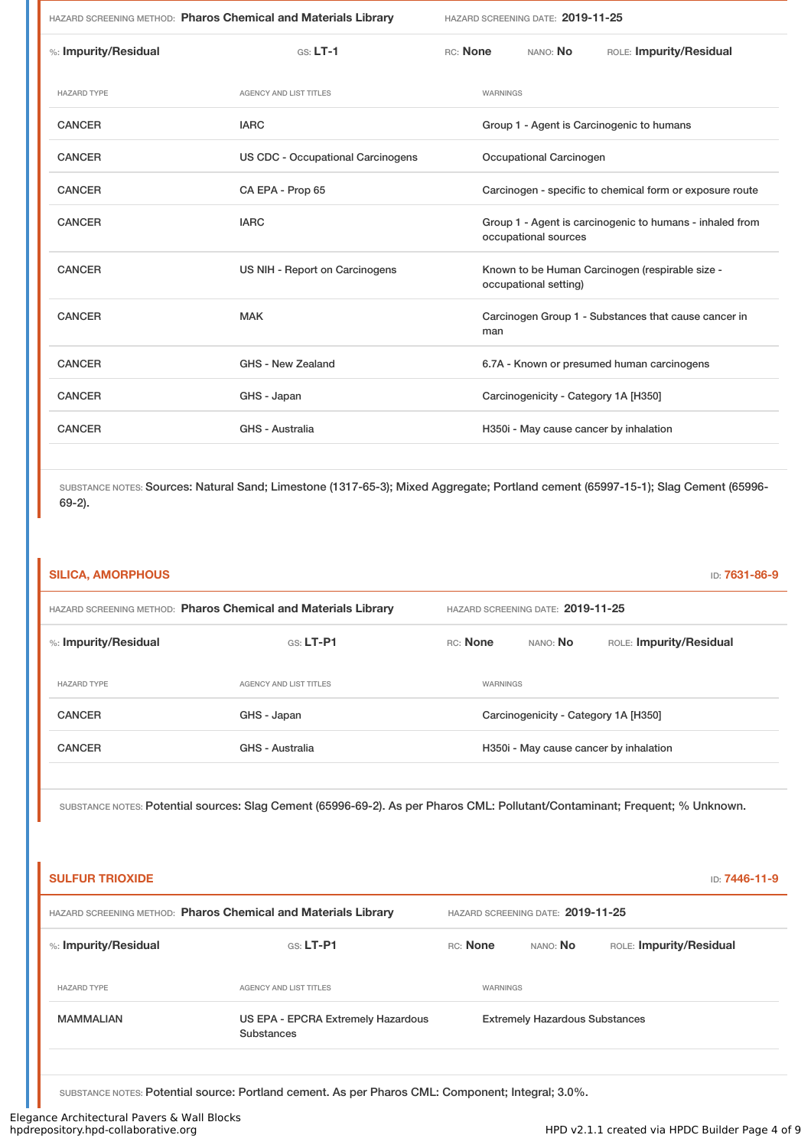|                      | HAZARD SCREENING METHOD: Pharos Chemical and Materials Library | HAZARD SCREENING DATE: 2019-11-25                                                |
|----------------------|----------------------------------------------------------------|----------------------------------------------------------------------------------|
| %: Impurity/Residual | $GS: LT-1$                                                     | RC: None<br>NANO: <b>No</b><br>ROLE: Impurity/Residual                           |
| <b>HAZARD TYPE</b>   | <b>AGENCY AND LIST TITLES</b>                                  | <b>WARNINGS</b>                                                                  |
| <b>CANCER</b>        | <b>IARC</b>                                                    | Group 1 - Agent is Carcinogenic to humans                                        |
| <b>CANCER</b>        | <b>US CDC - Occupational Carcinogens</b>                       | Occupational Carcinogen                                                          |
| <b>CANCER</b>        | CA EPA - Prop 65                                               | Carcinogen - specific to chemical form or exposure route                         |
| <b>CANCER</b>        | <b>IARC</b>                                                    | Group 1 - Agent is carcinogenic to humans - inhaled from<br>occupational sources |
| <b>CANCER</b>        | US NIH - Report on Carcinogens                                 | Known to be Human Carcinogen (respirable size -<br>occupational setting)         |
| <b>CANCER</b>        | <b>MAK</b>                                                     | Carcinogen Group 1 - Substances that cause cancer in<br>man                      |
| <b>CANCER</b>        | GHS - New Zealand                                              | 6.7A - Known or presumed human carcinogens                                       |
| <b>CANCER</b>        | GHS - Japan                                                    | Carcinogenicity - Category 1A [H350]                                             |
| <b>CANCER</b>        | GHS - Australia                                                | H350i - May cause cancer by inhalation                                           |
|                      |                                                                |                                                                                  |

SUBSTANCE NOTES: Sources: Natural Sand; Limestone (1317-65-3); Mixed Aggregate; Portland cement (65997-15-1); Slag Cement (65996- 69-2).

|                        | HAZARD SCREENING METHOD: Pharos Chemical and Materials Library                                                               |          | HAZARD SCREENING DATE: 2019-11-25     |                                        |
|------------------------|------------------------------------------------------------------------------------------------------------------------------|----------|---------------------------------------|----------------------------------------|
| %: Impurity/Residual   | GS: LT-P1                                                                                                                    | RC: None | NANO: No                              | ROLE: Impurity/Residual                |
| <b>HAZARD TYPE</b>     | AGENCY AND LIST TITLES                                                                                                       | WARNINGS |                                       |                                        |
| <b>CANCER</b>          | GHS - Japan                                                                                                                  |          | Carcinogenicity - Category 1A [H350]  |                                        |
| <b>CANCER</b>          | <b>GHS - Australia</b>                                                                                                       |          |                                       | H350i - May cause cancer by inhalation |
| <b>SULFUR TRIOXIDE</b> | SUBSTANCE NOTES: Potential sources: Slag Cement (65996-69-2). As per Pharos CML: Pollutant/Contaminant; Frequent; % Unknown. |          |                                       | ID: 7446-11-9                          |
|                        | HAZARD SCREENING METHOD: Pharos Chemical and Materials Library                                                               |          | HAZARD SCREENING DATE: 2019-11-25     |                                        |
| %: Impurity/Residual   | GS: LT-P1                                                                                                                    | RC: None | NANO: No                              | ROLE: Impurity/Residual                |
| <b>HAZARD TYPE</b>     | AGENCY AND LIST TITLES                                                                                                       | WARNINGS |                                       |                                        |
| <b>MAMMALIAN</b>       | US EPA - EPCRA Extremely Hazardous<br><b>Substances</b>                                                                      |          | <b>Extremely Hazardous Substances</b> |                                        |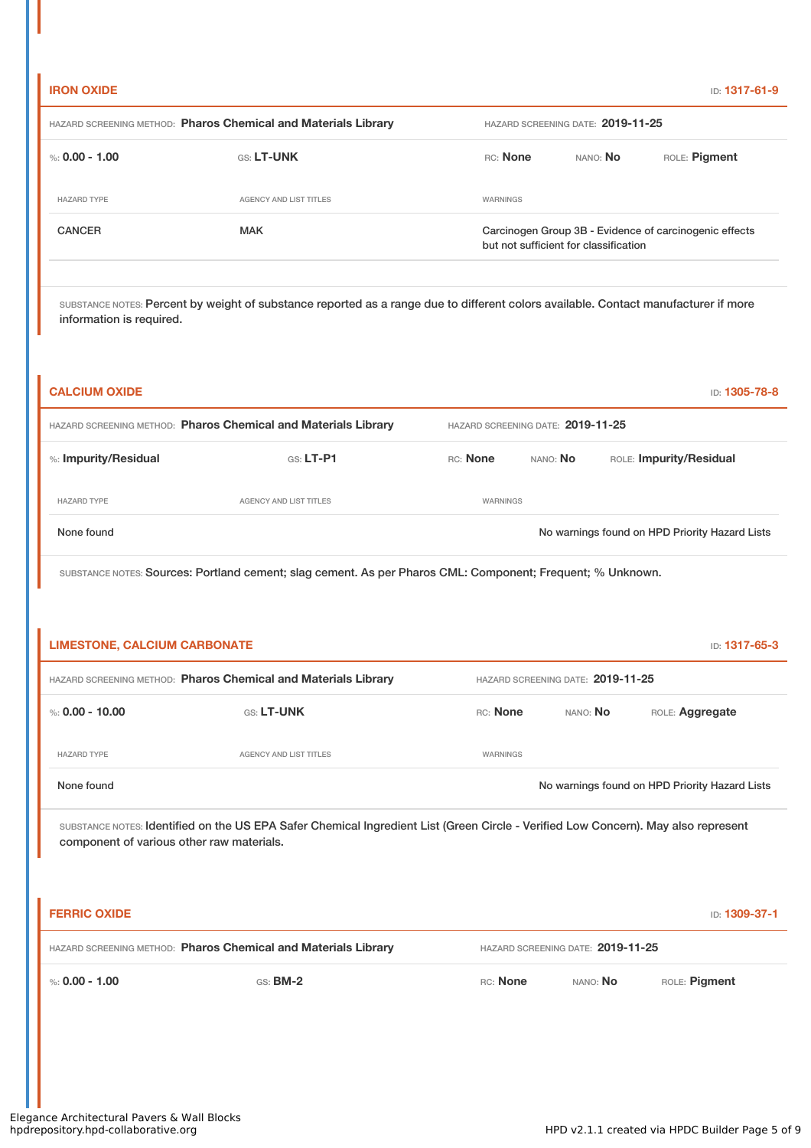### **IRON OXIDE** ID: **1317-61-9**

| HAZARD SCREENING METHOD: Pharos Chemical and Materials Library |                        | HAZARD SCREENING DATE: 2019-11-25     |          |                                                        |  |
|----------------------------------------------------------------|------------------------|---------------------------------------|----------|--------------------------------------------------------|--|
| %: 0.00 - 1.00                                                 | <b>GS: LT-UNK</b>      | RC: None                              | NANO: No | ROLE: Pigment                                          |  |
| <b>HAZARD TYPE</b>                                             | AGENCY AND LIST TITLES | WARNINGS                              |          |                                                        |  |
| <b>CANCER</b>                                                  | <b>MAK</b>             | but not sufficient for classification |          | Carcinogen Group 3B - Evidence of carcinogenic effects |  |

SUBSTANCE NOTES: Percent by weight of substance reported as a range due to different colors available. Contact manufacturer if more information is required.

| <b>CALCIUM OXIDE</b>                                           |                                   |                 |                 | ID: <b>1305-78-8</b>                           |
|----------------------------------------------------------------|-----------------------------------|-----------------|-----------------|------------------------------------------------|
| HAZARD SCREENING METHOD: Pharos Chemical and Materials Library | HAZARD SCREENING DATE: 2019-11-25 |                 |                 |                                                |
| %: Impurity/Residual                                           | $GS: LT-P1$                       | <b>RC:</b> None | NANO: <b>No</b> | ROLE: Impurity/Residual                        |
| <b>HAZARD TYPE</b>                                             | AGENCY AND LIST TITLES            | WARNINGS        |                 |                                                |
| None found                                                     |                                   |                 |                 | No warnings found on HPD Priority Hazard Lists |

SUBSTANCE NOTES: Sources: Portland cement; slag cement. As per Pharos CML: Component; Frequent; % Unknown.

| <b>LIMESTONE, CALCIUM CARBONATE</b><br><b>ID: 1317-65-3</b>    |                        |                 |                                   |                                                |
|----------------------------------------------------------------|------------------------|-----------------|-----------------------------------|------------------------------------------------|
| HAZARD SCREENING METHOD: Pharos Chemical and Materials Library |                        |                 | HAZARD SCREENING DATE: 2019-11-25 |                                                |
| %: 0.00 - 10.00                                                | <b>GS: LT-UNK</b>      | RC: None        | NANO: No                          | ROLE: Aggregate                                |
| <b>HAZARD TYPE</b>                                             | AGENCY AND LIST TITLES | <b>WARNINGS</b> |                                   |                                                |
| None found                                                     |                        |                 |                                   | No warnings found on HPD Priority Hazard Lists |

SUBSTANCE NOTES: Identified on the US EPA Safer Chemical Ingredient List (Green Circle - Verified Low Concern). May also represent component of various other raw materials.

| <b>FERRIC OXIDE</b> |                                                                |          |                                   | ID: 1309-37-1 |
|---------------------|----------------------------------------------------------------|----------|-----------------------------------|---------------|
|                     | HAZARD SCREENING METHOD: Pharos Chemical and Materials Library |          | HAZARD SCREENING DATE: 2019-11-25 |               |
| %: $0.00 - 1.00$    | $GS:$ BM-2                                                     | RC: None | NANO: No                          | ROLE: Pigment |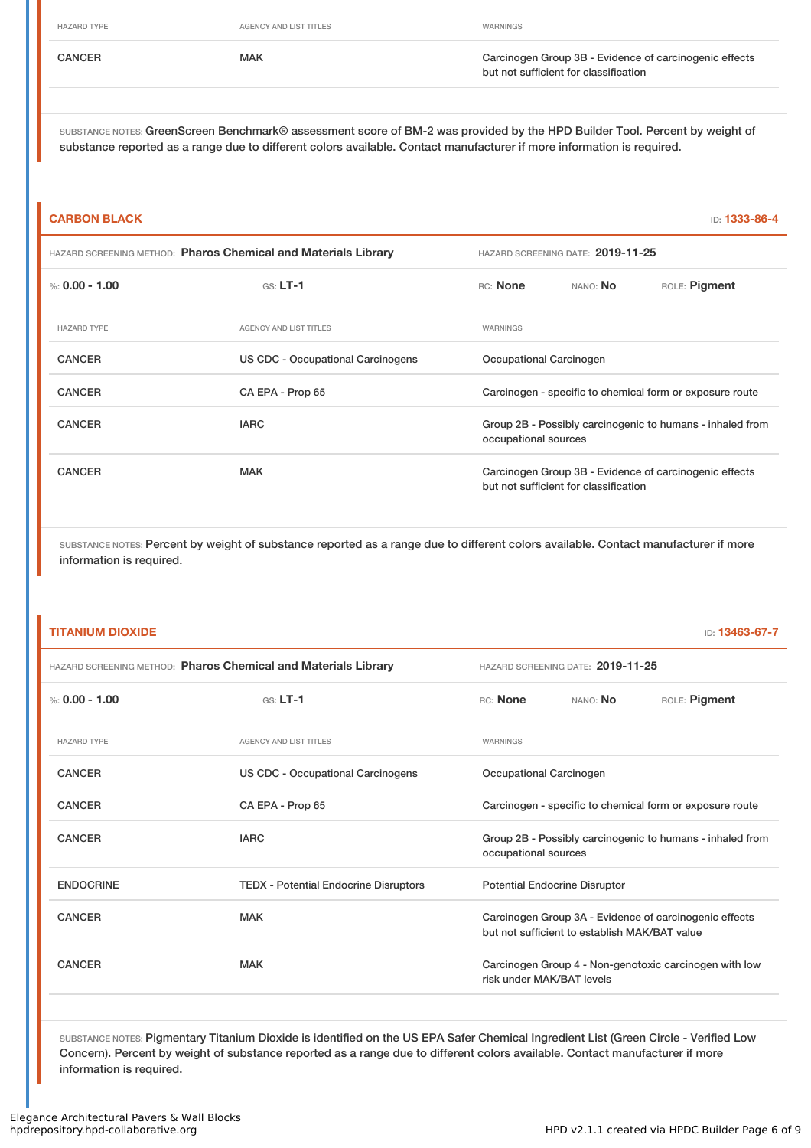HAZARD TYPE **AGENCY AND LIST TITLES WARNINGS** 

CANCER **CANCER** MAK MAK CANCER CANCER CANCER MAK CANCER CANCER CANCER CANCER CANCER CANCER CANCER CANCE CANCE CANCE but not sufficient for classification

SUBSTANCE NOTES: GreenScreen Benchmark® assessment score of BM-2 was provided by the HPD Builder Tool. Percent by weight of substance reported as a range due to different colors available. Contact manufacturer if more information is required.

# **CARBON BLACK** ID: **1333-86-4** HAZARD SCREENING METHOD: **Pharos Chemical and Materials Library** HAZARD SCREENING DATE: **2019-11-25** %: **0.00 - 1.00** GS: **LT-1** RC: **None** NANO: **No** ROLE: **Pigment** HAZARD TYPE **AGENCY AND LIST TITLES** WARNINGS CANCER **EXECUTE:** US CDC - Occupational Carcinogens **Occupational Carcinogen** CANCER CA EPA - Prop 65 CA EPA - Prop 65 Carcinogen - specific to chemical form or exposure route CANCER **IARC** IARC **GROUP 2B - Possibly carcinogenic to humans - inhaled from** occupational sources CANCER MAK Carcinogen Group 3B - Evidence of carcinogenic effects but not sufficient for classification

SUBSTANCE NOTES: Percent by weight of substance reported as a range due to different colors available. Contact manufacturer if more information is required.

### **TITANIUM DIOXIDE** ID: **13463-67-7**

| HAZARD SCREENING METHOD: Pharos Chemical and Materials Library |                                              | HAZARD SCREENING DATE: 2019-11-25                                                 |                                               |                                                        |
|----------------------------------------------------------------|----------------------------------------------|-----------------------------------------------------------------------------------|-----------------------------------------------|--------------------------------------------------------|
| %: $0.00 - 1.00$                                               | $GS: LT-1$                                   | RC: None                                                                          | NANO: NO                                      | ROLE: Pigment                                          |
| <b>HAZARD TYPE</b>                                             | <b>AGENCY AND LIST TITLES</b>                | WARNINGS                                                                          |                                               |                                                        |
| <b>CANCER</b>                                                  | <b>US CDC - Occupational Carcinogens</b>     | Occupational Carcinogen                                                           |                                               |                                                        |
| <b>CANCER</b>                                                  | CA EPA - Prop 65                             | Carcinogen - specific to chemical form or exposure route                          |                                               |                                                        |
| <b>CANCER</b>                                                  | <b>IARC</b>                                  | Group 2B - Possibly carcinogenic to humans - inhaled from<br>occupational sources |                                               |                                                        |
| <b>ENDOCRINE</b>                                               | <b>TEDX</b> - Potential Endocrine Disruptors |                                                                                   | <b>Potential Endocrine Disruptor</b>          |                                                        |
| <b>CANCER</b>                                                  | <b>MAK</b>                                   |                                                                                   | but not sufficient to establish MAK/BAT value | Carcinogen Group 3A - Evidence of carcinogenic effects |
| <b>CANCER</b>                                                  | <b>MAK</b>                                   | risk under MAK/BAT levels                                                         |                                               | Carcinogen Group 4 - Non-genotoxic carcinogen with low |
|                                                                |                                              |                                                                                   |                                               |                                                        |

SUBSTANCE NOTES: Pigmentary Titanium Dioxide is identified on the US EPA Safer Chemical Ingredient List (Green Circle - Verified Low Concern). Percent by weight of substance reported as a range due to different colors available. Contact manufacturer if more information is required.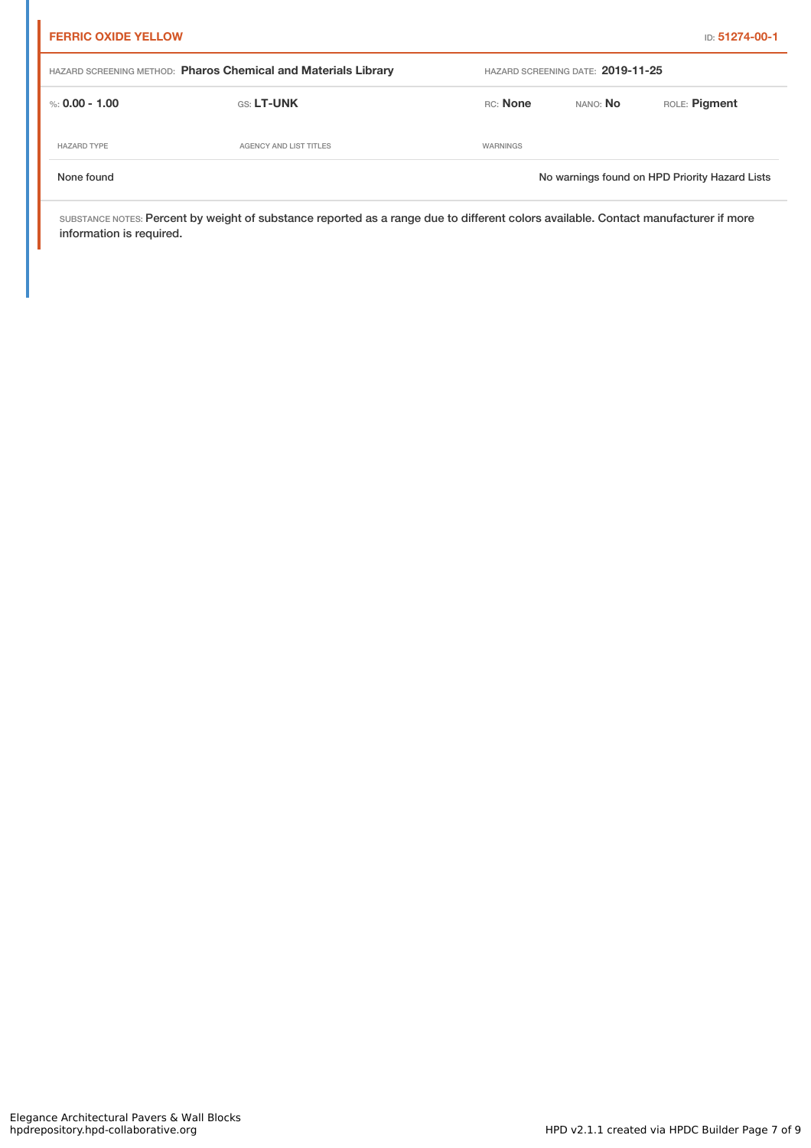| <b>FERRIC OXIDE YELLOW</b>                                     |                        |                 |                                   | <b>ID: 51274-00-1</b>                          |
|----------------------------------------------------------------|------------------------|-----------------|-----------------------------------|------------------------------------------------|
| HAZARD SCREENING METHOD: Pharos Chemical and Materials Library |                        |                 | HAZARD SCREENING DATE: 2019-11-25 |                                                |
| %: 0.00 - 1.00                                                 | <b>GS: LT-UNK</b>      | <b>RC:</b> None | NANO: No                          | ROLE: Pigment                                  |
| <b>HAZARD TYPE</b>                                             | AGENCY AND LIST TITLES | WARNINGS        |                                   |                                                |
| None found                                                     |                        |                 |                                   | No warnings found on HPD Priority Hazard Lists |

SUBSTANCE NOTES: Percent by weight of substance reported as a range due to different colors available. Contact manufacturer if more information is required.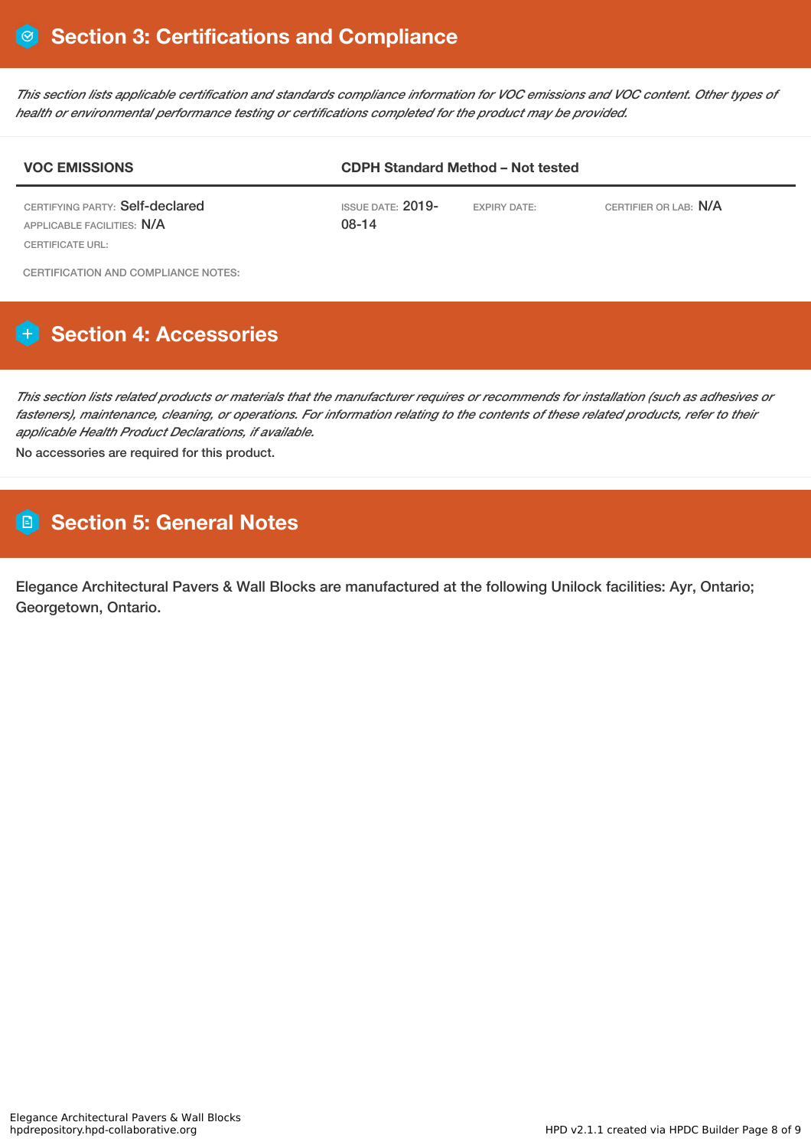This section lists applicable certification and standards compliance information for VOC emissions and VOC content. Other types of *health or environmental performance testing or certifications completed for the product may be provided.*

| <b>VOC EMISSIONS</b>                                                                     | <b>CDPH Standard Method - Not tested</b> |                     |                       |  |
|------------------------------------------------------------------------------------------|------------------------------------------|---------------------|-----------------------|--|
| CERTIFYING PARTY: Self-declared<br>APPLICABLE FACILITIES: N/A<br><b>CERTIFICATE URL:</b> | ISSUE DATE: $2019-$<br>$08-14$           | <b>EXPIRY DATE:</b> | CERTIFIER OR LAB: N/A |  |
| CERTIFICATION AND COMPLIANCE NOTES:                                                      |                                          |                     |                       |  |

# **Section 4: Accessories**

This section lists related products or materials that the manufacturer requires or recommends for installation (such as adhesives or fasteners), maintenance, cleaning, or operations. For information relating to the contents of these related products, refer to their *applicable Health Product Declarations, if available.*

No accessories are required for this product.

## **Section 5: General Notes**

Elegance Architectural Pavers & Wall Blocks are manufactured at the following Unilock facilities: Ayr, Ontario; Georgetown, Ontario.